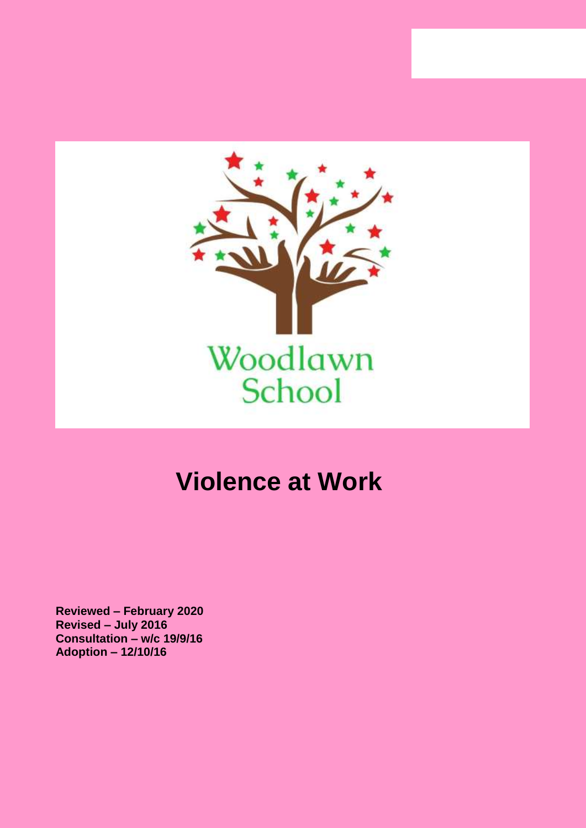

# **Violence at Work**

**Reviewed – February 2020 Revised – July 2016 Consultation – w/c 19/9/16 Adoption – 12/10/16**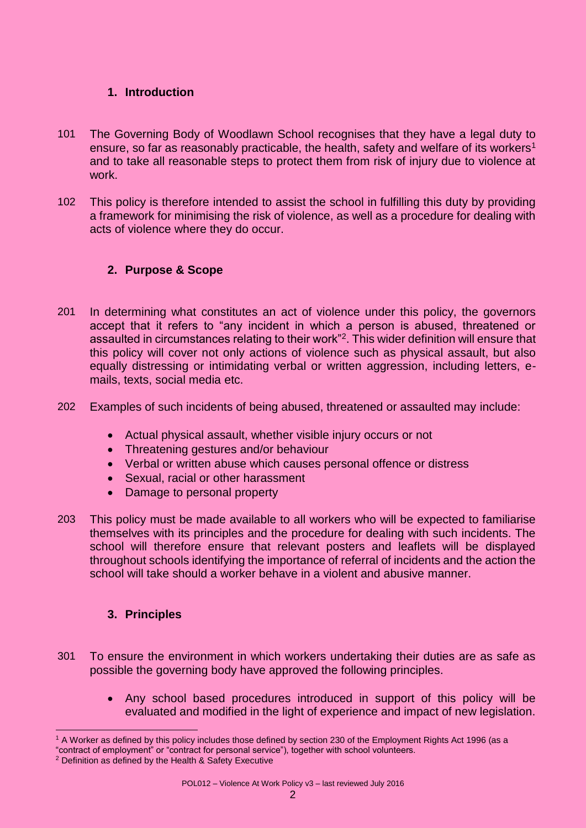#### **1. Introduction**

- 101 The Governing Body of Woodlawn School recognises that they have a legal duty to ensure, so far as reasonably practicable, the health, safety and welfare of its workers<sup>1</sup> and to take all reasonable steps to protect them from risk of injury due to violence at work.
- 102 This policy is therefore intended to assist the school in fulfilling this duty by providing a framework for minimising the risk of violence, as well as a procedure for dealing with acts of violence where they do occur.

# **2. Purpose & Scope**

- 201 In determining what constitutes an act of violence under this policy, the governors accept that it refers to "any incident in which a person is abused, threatened or assaulted in circumstances relating to their work"<sup>2</sup>. This wider definition will ensure that this policy will cover not only actions of violence such as physical assault, but also equally distressing or intimidating verbal or written aggression, including letters, emails, texts, social media etc.
- 202 Examples of such incidents of being abused, threatened or assaulted may include:
	- Actual physical assault, whether visible injury occurs or not
	- Threatening gestures and/or behaviour
	- Verbal or written abuse which causes personal offence or distress
	- Sexual, racial or other harassment
	- Damage to personal property
- 203 This policy must be made available to all workers who will be expected to familiarise themselves with its principles and the procedure for dealing with such incidents. The school will therefore ensure that relevant posters and leaflets will be displayed throughout schools identifying the importance of referral of incidents and the action the school will take should a worker behave in a violent and abusive manner.

## **3. Principles**

- 301 To ensure the environment in which workers undertaking their duties are as safe as possible the governing body have approved the following principles.
	- Any school based procedures introduced in support of this policy will be evaluated and modified in the light of experience and impact of new legislation.

 $\overline{a}$ <sup>1</sup> A Worker as defined by this policy includes those defined by section 230 of the Employment Rights Act 1996 (as a "contract of employment" or "contract for personal service"), together with school volunteers.

<sup>2</sup> Definition as defined by the Health & Safety Executive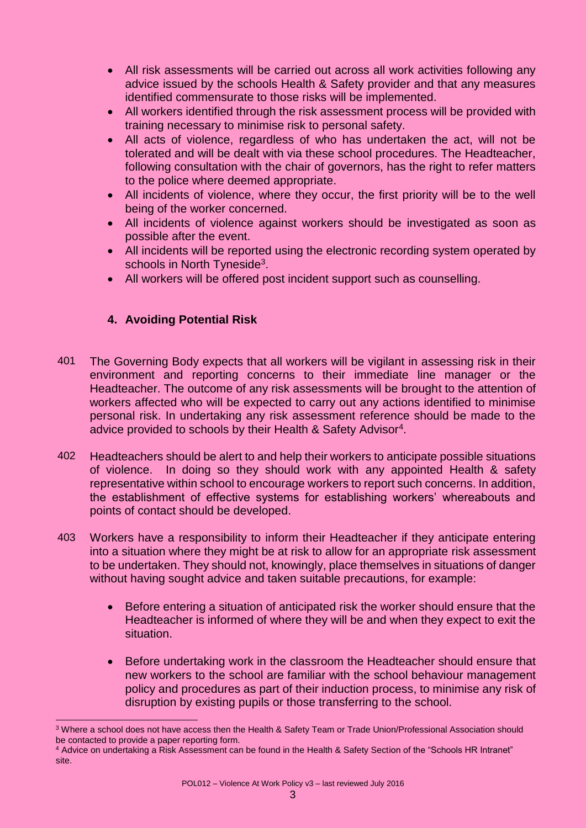- All risk assessments will be carried out across all work activities following any advice issued by the schools Health & Safety provider and that any measures identified commensurate to those risks will be implemented.
- All workers identified through the risk assessment process will be provided with training necessary to minimise risk to personal safety.
- All acts of violence, regardless of who has undertaken the act, will not be tolerated and will be dealt with via these school procedures. The Headteacher, following consultation with the chair of governors, has the right to refer matters to the police where deemed appropriate.
- All incidents of violence, where they occur, the first priority will be to the well being of the worker concerned.
- All incidents of violence against workers should be investigated as soon as possible after the event.
- All incidents will be reported using the electronic recording system operated by schools in North Tyneside<sup>3</sup>.
- All workers will be offered post incident support such as counselling.

# **4. Avoiding Potential Risk**

 $\overline{\phantom{a}}$ 

- 401 The Governing Body expects that all workers will be vigilant in assessing risk in their environment and reporting concerns to their immediate line manager or the Headteacher. The outcome of any risk assessments will be brought to the attention of workers affected who will be expected to carry out any actions identified to minimise personal risk. In undertaking any risk assessment reference should be made to the advice provided to schools by their Health & Safety Advisor<sup>4</sup>.
- 402 Headteachers should be alert to and help their workers to anticipate possible situations of violence. In doing so they should work with any appointed Health & safety representative within school to encourage workers to report such concerns. In addition, the establishment of effective systems for establishing workers' whereabouts and points of contact should be developed.
- 403 Workers have a responsibility to inform their Headteacher if they anticipate entering into a situation where they might be at risk to allow for an appropriate risk assessment to be undertaken. They should not, knowingly, place themselves in situations of danger without having sought advice and taken suitable precautions, for example:
	- Before entering a situation of anticipated risk the worker should ensure that the Headteacher is informed of where they will be and when they expect to exit the situation.
	- Before undertaking work in the classroom the Headteacher should ensure that new workers to the school are familiar with the school behaviour management policy and procedures as part of their induction process, to minimise any risk of disruption by existing pupils or those transferring to the school.

<sup>3</sup> Where a school does not have access then the Health & Safety Team or Trade Union/Professional Association should be contacted to provide a paper reporting form.

<sup>4</sup> Advice on undertaking a Risk Assessment can be found in the Health & Safety Section of the "Schools HR Intranet" site.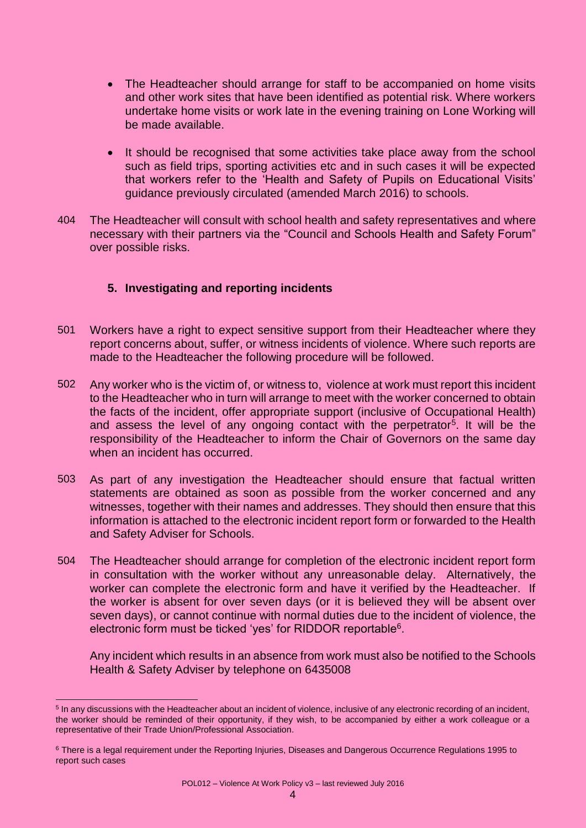- The Headteacher should arrange for staff to be accompanied on home visits and other work sites that have been identified as potential risk. Where workers undertake home visits or work late in the evening training on Lone Working will be made available.
- It should be recognised that some activities take place away from the school such as field trips, sporting activities etc and in such cases it will be expected that workers refer to the 'Health and Safety of Pupils on Educational Visits' guidance previously circulated (amended March 2016) to schools.
- 404 The Headteacher will consult with school health and safety representatives and where necessary with their partners via the "Council and Schools Health and Safety Forum" over possible risks.

# **5. Investigating and reporting incidents**

- 501 Workers have a right to expect sensitive support from their Headteacher where they report concerns about, suffer, or witness incidents of violence. Where such reports are made to the Headteacher the following procedure will be followed.
- 502 Any worker who is the victim of, or witness to, violence at work must report this incident to the Headteacher who in turn will arrange to meet with the worker concerned to obtain the facts of the incident, offer appropriate support (inclusive of Occupational Health) and assess the level of any ongoing contact with the perpetrator<sup>5</sup>. It will be the responsibility of the Headteacher to inform the Chair of Governors on the same day when an incident has occurred.
- 503 As part of any investigation the Headteacher should ensure that factual written statements are obtained as soon as possible from the worker concerned and any witnesses, together with their names and addresses. They should then ensure that this information is attached to the electronic incident report form or forwarded to the Health and Safety Adviser for Schools.
- 504 The Headteacher should arrange for completion of the electronic incident report form in consultation with the worker without any unreasonable delay. Alternatively, the worker can complete the electronic form and have it verified by the Headteacher. If the worker is absent for over seven days (or it is believed they will be absent over seven days), or cannot continue with normal duties due to the incident of violence, the electronic form must be ticked 'yes' for RIDDOR reportable<sup>6</sup>.

Any incident which results in an absence from work must also be notified to the Schools Health & Safety Adviser by telephone on 6435008

 $\overline{a}$ <sup>5</sup> In any discussions with the Headteacher about an incident of violence, inclusive of any electronic recording of an incident, the worker should be reminded of their opportunity, if they wish, to be accompanied by either a work colleague or a representative of their Trade Union/Professional Association.

<sup>6</sup> There is a legal requirement under the Reporting Injuries, Diseases and Dangerous Occurrence Regulations 1995 to report such cases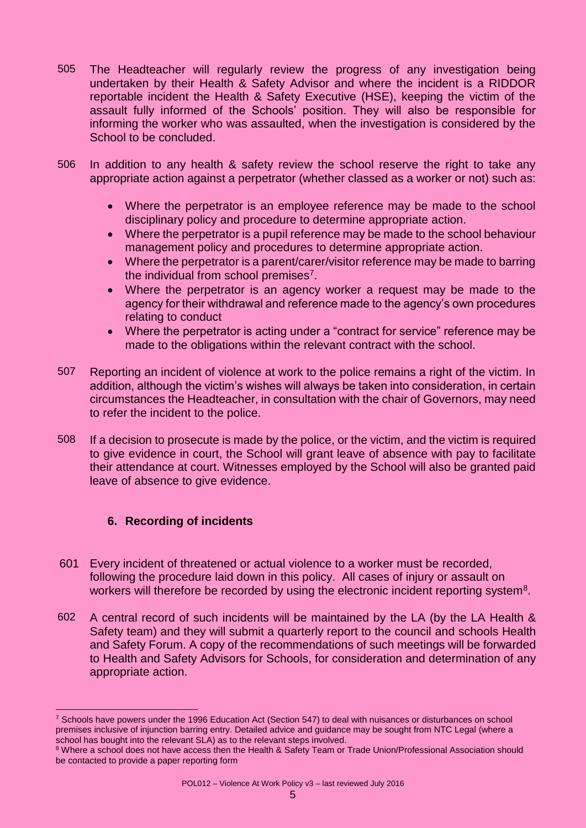- 505 The Headteacher will regularly review the progress of any investigation being undertaken by their Health & Safety Advisor and where the incident is a RIDDOR reportable incident the Health & Safety Executive (HSE), keeping the victim of the assault fully informed of the Schools' position. They will also be responsible for informing the worker who was assaulted, when the investigation is considered by the School to be concluded.
- 506 In addition to any health & safety review the school reserve the right to take any appropriate action against a perpetrator (whether classed as a worker or not) such as:
	- Where the perpetrator is an employee reference may be made to the school disciplinary policy and procedure to determine appropriate action.
	- Where the perpetrator is a pupil reference may be made to the school behaviour management policy and procedures to determine appropriate action.
	- Where the perpetrator is a parent/carer/visitor reference may be made to barring the individual from school premises<sup>7</sup>.
	- Where the perpetrator is an agency worker a request may be made to the agency for their withdrawal and reference made to the agency's own procedures relating to conduct
	- Where the perpetrator is acting under a "contract for service" reference may be made to the obligations within the relevant contract with the school.
- 507 Reporting an incident of violence at work to the police remains a right of the victim. In addition, although the victim's wishes will always be taken into consideration, in certain circumstances the Headteacher, in consultation with the chair of Governors, may need to refer the incident to the police.
- 508 If a decision to prosecute is made by the police, or the victim, and the victim is required to give evidence in court, the School will grant leave of absence with pay to facilitate their attendance at court. Witnesses employed by the School will also be granted paid leave of absence to give evidence.

## **6. Recording of incidents**

 $\overline{\phantom{a}}$ 

- 601 Every incident of threatened or actual violence to a worker must be recorded, following the procedure laid down in this policy. All cases of injury or assault on workers will therefore be recorded by using the electronic incident reporting system $8$ .
- 602 A central record of such incidents will be maintained by the LA (by the LA Health & Safety team) and they will submit a quarterly report to the council and schools Health and Safety Forum. A copy of the recommendations of such meetings will be forwarded to Health and Safety Advisors for Schools, for consideration and determination of any appropriate action.

POL012 – Violence At Work Policy v3 – last reviewed July 2016

<sup>7</sup> Schools have powers under the 1996 Education Act (Section 547) to deal with nuisances or disturbances on school premises inclusive of injunction barring entry. Detailed advice and guidance may be sought from NTC Legal (where a school has bought into the relevant SLA) as to the relevant steps involved.

<sup>&</sup>lt;sup>8</sup> Where a school does not have access then the Health & Safety Team or Trade Union/Professional Association should be contacted to provide a paper reporting form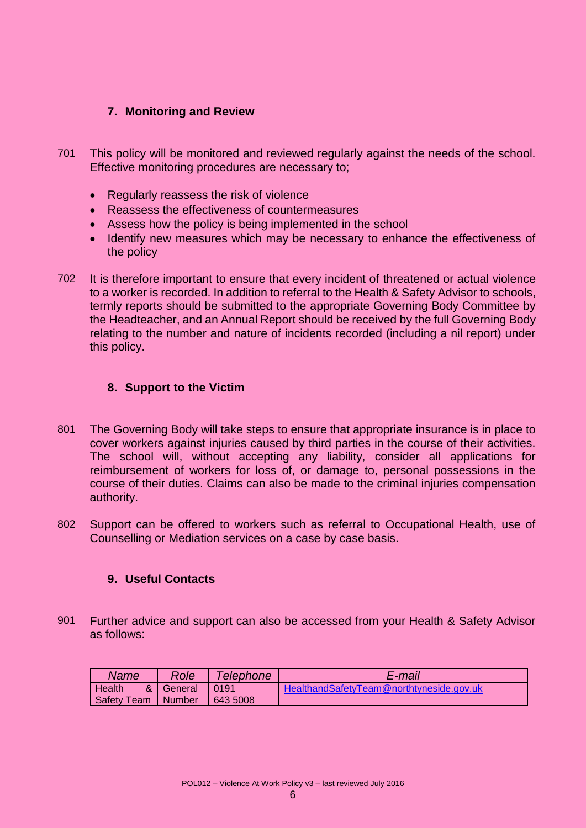#### **7. Monitoring and Review**

- 701 This policy will be monitored and reviewed regularly against the needs of the school. Effective monitoring procedures are necessary to;
	- Regularly reassess the risk of violence
	- Reassess the effectiveness of countermeasures
	- Assess how the policy is being implemented in the school
	- Identify new measures which may be necessary to enhance the effectiveness of the policy
- 702 It is therefore important to ensure that every incident of threatened or actual violence to a worker is recorded. In addition to referral to the Health & Safety Advisor to schools, termly reports should be submitted to the appropriate Governing Body Committee by the Headteacher, and an Annual Report should be received by the full Governing Body relating to the number and nature of incidents recorded (including a nil report) under this policy.

## **8. Support to the Victim**

- 801 The Governing Body will take steps to ensure that appropriate insurance is in place to cover workers against injuries caused by third parties in the course of their activities. The school will, without accepting any liability, consider all applications for reimbursement of workers for loss of, or damage to, personal possessions in the course of their duties. Claims can also be made to the criminal injuries compensation authority.
- 802 Support can be offered to workers such as referral to Occupational Health, use of Counselling or Mediation services on a case by case basis.

#### **9. Useful Contacts**

901 Further advice and support can also be accessed from your Health & Safety Advisor as follows:

| Name          | Role           | <i>Telephone</i> | E-mail                                   |
|---------------|----------------|------------------|------------------------------------------|
| Health<br>& l | General 1 0191 |                  | HealthandSafetyTeam@northtyneside.gov.uk |
| Safety Team   |                | Number 1643 5008 |                                          |